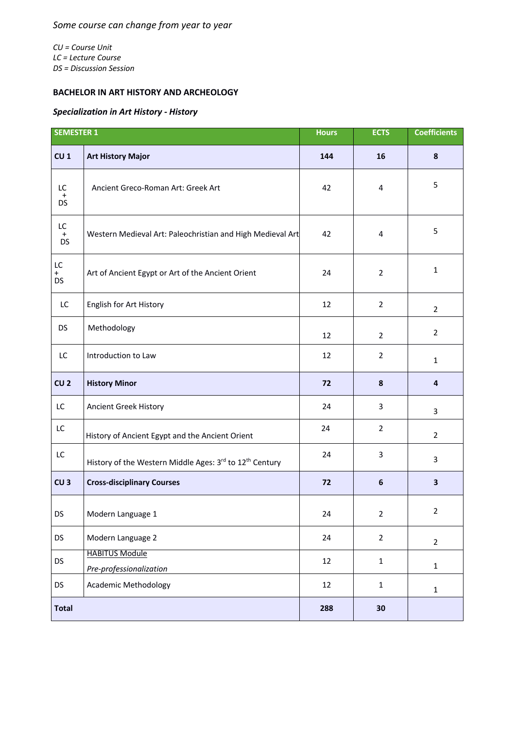*CU = Course Unit LC = Lecture Course DS = Discussion Session*

## **BACHELOR IN ART HISTORY AND ARCHEOLOGY**

## *Specialization in Art History - History*

| <b>SEMESTER 1</b>             |                                                                     | <b>Hours</b> | <b>ECTS</b>      | <b>Coefficients</b>     |
|-------------------------------|---------------------------------------------------------------------|--------------|------------------|-------------------------|
| CU <sub>1</sub>               | <b>Art History Major</b>                                            | 144          | 16               | $\bf{8}$                |
| LC<br>$\ddot{}$<br><b>DS</b>  | Ancient Greco-Roman Art: Greek Art                                  | 42           | 4                | 5                       |
| LC.<br>$\ddot{}$<br><b>DS</b> | Western Medieval Art: Paleochristian and High Medieval Art          | 42           | 4                | 5                       |
| LC<br>$+$<br><b>DS</b>        | Art of Ancient Egypt or Art of the Ancient Orient                   | 24           | $\overline{2}$   | $\mathbf{1}$            |
| LC                            | English for Art History                                             | 12           | $\overline{2}$   | $\overline{2}$          |
| <b>DS</b>                     | Methodology                                                         | 12           | $\overline{2}$   | $\overline{2}$          |
| LC                            | Introduction to Law                                                 | 12           | $\overline{2}$   | $\mathbf{1}$            |
| CU <sub>2</sub>               | <b>History Minor</b>                                                | 72           | 8                | $\overline{\mathbf{4}}$ |
| LC                            | Ancient Greek History                                               | 24           | 3                | 3                       |
| LC                            | History of Ancient Egypt and the Ancient Orient                     | 24           | $\overline{2}$   | $\overline{2}$          |
| LC                            | History of the Western Middle Ages: 3rd to 12 <sup>th</sup> Century | 24           | 3                | $\mathbf{3}$            |
| CU <sub>3</sub>               | <b>Cross-disciplinary Courses</b>                                   | 72           | $\boldsymbol{6}$ | $\overline{\mathbf{3}}$ |
| DS                            | Modern Language 1                                                   | 24           | $\overline{2}$   | $\overline{2}$          |
| <b>DS</b>                     | Modern Language 2                                                   | 24           | $\overline{2}$   | $\overline{2}$          |
| <b>DS</b>                     | <b>HABITUS Module</b><br>Pre-professionalization                    | 12           | $\mathbf 1$      | $\mathbf 1$             |
| <b>DS</b>                     | <b>Academic Methodology</b>                                         | 12           | $\mathbf 1$      | $\mathbf{1}$            |
| <b>Total</b>                  |                                                                     | 288          | 30               |                         |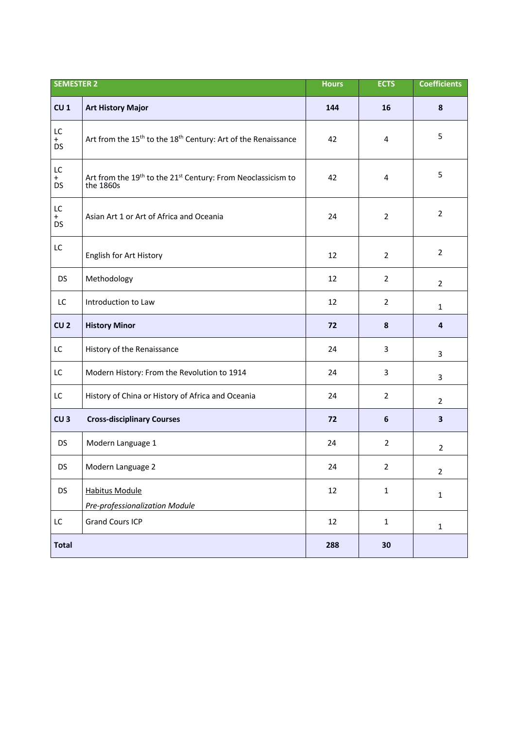| <b>SEMESTER 2</b>      |                                                                                                   | <b>Hours</b> | <b>ECTS</b>      | <b>Coefficients</b> |
|------------------------|---------------------------------------------------------------------------------------------------|--------------|------------------|---------------------|
| CU <sub>1</sub>        | <b>Art History Major</b>                                                                          | 144          | 16               | 8                   |
| LC<br>$+$<br><b>DS</b> | Art from the 15 <sup>th</sup> to the 18 <sup>th</sup> Century: Art of the Renaissance             | 42           | 4                | 5                   |
| LC<br>$+$<br><b>DS</b> | Art from the 19 <sup>th</sup> to the 21 <sup>st</sup> Century: From Neoclassicism to<br>the 1860s | 42           | 4                | 5                   |
| LC<br>$+$<br><b>DS</b> | Asian Art 1 or Art of Africa and Oceania                                                          | 24           | $\overline{2}$   | $\overline{2}$      |
| LC                     | English for Art History                                                                           | 12           | $\overline{2}$   | $\overline{2}$      |
| <b>DS</b>              | Methodology                                                                                       | 12           | $\overline{2}$   | $\overline{2}$      |
| LC                     | Introduction to Law                                                                               | 12           | $\overline{2}$   | $\mathbf{1}$        |
| CU <sub>2</sub>        | <b>History Minor</b>                                                                              | 72           | 8                | 4                   |
| LC                     | History of the Renaissance                                                                        | 24           | 3                | 3                   |
| LC                     | Modern History: From the Revolution to 1914                                                       | 24           | 3                | 3                   |
| LC                     | History of China or History of Africa and Oceania                                                 | 24           | $\overline{2}$   | $\overline{2}$      |
| CU <sub>3</sub>        | <b>Cross-disciplinary Courses</b>                                                                 | 72           | $\boldsymbol{6}$ | 3                   |
| <b>DS</b>              | Modern Language 1                                                                                 | 24           | $\overline{2}$   | $\overline{2}$      |
| DS                     | Modern Language 2                                                                                 | 24           | $\overline{2}$   | $\overline{2}$      |
| <b>DS</b>              | <b>Habitus Module</b>                                                                             | 12           | $\mathbf 1$      | $\mathbf 1$         |
|                        | Pre-professionalization Module                                                                    |              |                  |                     |
| LC                     | <b>Grand Cours ICP</b>                                                                            | 12           | $\mathbf 1$      | $\mathbf{1}$        |
| <b>Total</b>           |                                                                                                   | 288          | 30               |                     |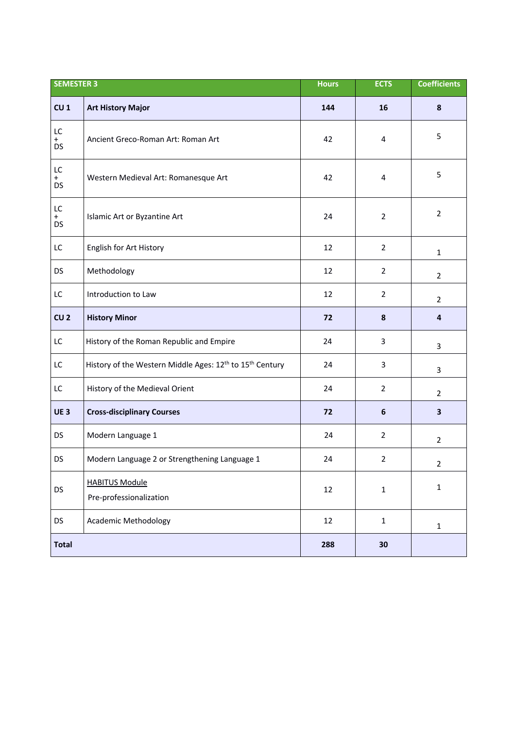| <b>SEMESTER 3</b>                 |                                                                                  | <b>Hours</b> | <b>ECTS</b>    | <b>Coefficients</b> |
|-----------------------------------|----------------------------------------------------------------------------------|--------------|----------------|---------------------|
| CU <sub>1</sub>                   | <b>Art History Major</b>                                                         | 144          | 16             | 8                   |
| LC<br>$+$<br><b>DS</b>            | Ancient Greco-Roman Art: Roman Art                                               | 42           | 4              | 5                   |
| ${\sf LC}$<br>$^{+}$<br><b>DS</b> | Western Medieval Art: Romanesque Art                                             | 42           | 4              | 5                   |
| LC<br>$+$<br>DS                   | Islamic Art or Byzantine Art                                                     | 24           | $\overline{2}$ | $\overline{2}$      |
| LC                                | English for Art History                                                          | 12           | $\overline{2}$ | $\mathbf{1}$        |
| <b>DS</b>                         | Methodology                                                                      | 12           | $\overline{2}$ | $\overline{2}$      |
| LC                                | Introduction to Law                                                              | 12           | $\overline{2}$ | $\overline{2}$      |
| CU <sub>2</sub>                   | <b>History Minor</b>                                                             | 72           | 8              | $\overline{4}$      |
| LC                                | History of the Roman Republic and Empire                                         | 24           | 3              | 3                   |
| LC                                | History of the Western Middle Ages: 12 <sup>th</sup> to 15 <sup>th</sup> Century | 24           | 3              | 3                   |
| LC                                | History of the Medieval Orient                                                   | 24           | $\overline{2}$ | $\overline{2}$      |
| <b>UE3</b>                        | <b>Cross-disciplinary Courses</b>                                                | 72           | 6              | 3                   |
| <b>DS</b>                         | Modern Language 1                                                                | 24           | $\overline{2}$ | $\overline{2}$      |
| DS                                | Modern Language 2 or Strengthening Language 1                                    | 24           | $\overline{2}$ | $\mathcal{P}$       |
| DS                                | <b>HABITUS Module</b><br>Pre-professionalization                                 | 12           | $\mathbf{1}$   | $\mathbf 1$         |
| <b>DS</b>                         | <b>Academic Methodology</b>                                                      | 12           | $\mathbf{1}$   | $\mathbf 1$         |
| <b>Total</b>                      |                                                                                  | 288          | 30             |                     |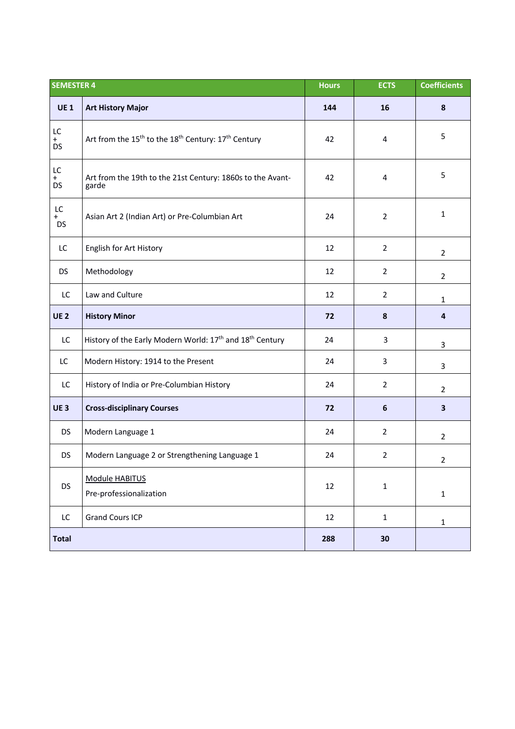| <b>SEMESTER 4</b>      |                                                                                         | <b>Hours</b> | <b>ECTS</b>    | <b>Coefficients</b> |
|------------------------|-----------------------------------------------------------------------------------------|--------------|----------------|---------------------|
| <b>UE1</b>             | <b>Art History Major</b>                                                                | 144          | 16             | $\pmb{8}$           |
| LC<br>$+$<br><b>DS</b> | Art from the 15 <sup>th</sup> to the 18 <sup>th</sup> Century: 17 <sup>th</sup> Century | 42           | 4              | 5                   |
| LC<br>$+$<br><b>DS</b> | Art from the 19th to the 21st Century: 1860s to the Avant-<br>garde                     | 42           | 4              | 5                   |
| LC<br>$+$<br><b>DS</b> | Asian Art 2 (Indian Art) or Pre-Columbian Art                                           | 24           | $\overline{2}$ | $\mathbf{1}$        |
| LC                     | English for Art History                                                                 | 12           | $\overline{2}$ | $\overline{2}$      |
| <b>DS</b>              | Methodology                                                                             | 12           | $\overline{2}$ | $\overline{2}$      |
| LC                     | Law and Culture                                                                         | 12           | $\overline{2}$ | $\mathbf{1}$        |
| <b>UE2</b>             | <b>History Minor</b>                                                                    | 72           | 8              | $\overline{4}$      |
| LC                     | History of the Early Modern World: 17 <sup>th</sup> and 18 <sup>th</sup> Century        | 24           | 3              | 3                   |
| LC                     | Modern History: 1914 to the Present                                                     | 24           | 3              | $\overline{3}$      |
| LC                     | History of India or Pre-Columbian History                                               | 24           | $\overline{2}$ | $\overline{2}$      |
| <b>UE3</b>             | <b>Cross-disciplinary Courses</b>                                                       | 72           | 6              | $\mathbf{3}$        |
| <b>DS</b>              | Modern Language 1                                                                       | 24           | $\overline{2}$ | $\overline{2}$      |
| <b>DS</b>              | Modern Language 2 or Strengthening Language 1                                           | 24           | $\overline{2}$ | $\overline{2}$      |
| <b>DS</b>              | Module HABITUS<br>Pre-professionalization                                               | 12           | $\mathbf 1$    | $\mathbf 1$         |
| LC                     | <b>Grand Cours ICP</b>                                                                  | 12           | $\mathbf{1}$   | $\mathbf{1}$        |
| <b>Total</b>           |                                                                                         | 288          | 30             |                     |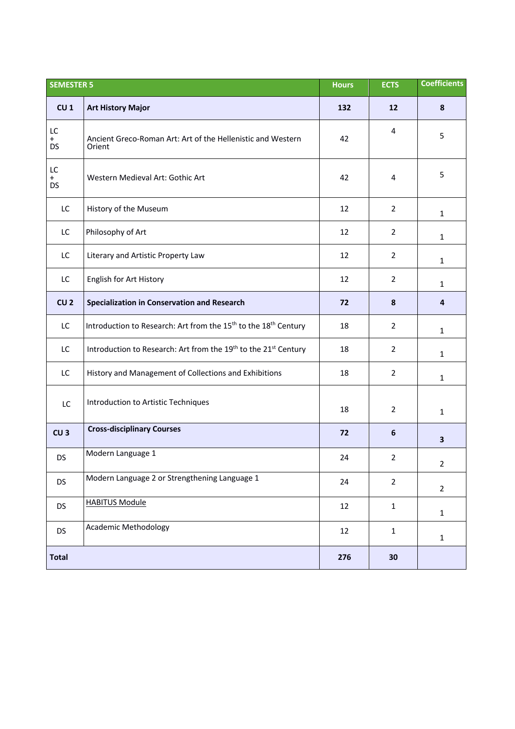| <b>SEMESTER 5</b>      |                                                                                         | <b>Hours</b> | <b>ECTS</b>    | <b>Coefficients</b> |
|------------------------|-----------------------------------------------------------------------------------------|--------------|----------------|---------------------|
| CU <sub>1</sub>        | <b>Art History Major</b>                                                                | 132          | 12             | 8                   |
| LC<br>$+$<br><b>DS</b> | Ancient Greco-Roman Art: Art of the Hellenistic and Western<br>Orient                   | 42           | 4              | 5                   |
| LC<br>$+$<br><b>DS</b> | Western Medieval Art: Gothic Art                                                        | 42           | 4              | 5                   |
| LC                     | History of the Museum                                                                   | 12           | $\overline{2}$ | $\mathbf{1}$        |
| LC                     | Philosophy of Art                                                                       | 12           | $\overline{2}$ | $\mathbf{1}$        |
| LC                     | Literary and Artistic Property Law                                                      | 12           | $\overline{2}$ | $\mathbf{1}$        |
| LC                     | English for Art History                                                                 | 12           | $\overline{2}$ | $\mathbf{1}$        |
| CU <sub>2</sub>        | Specialization in Conservation and Research                                             | 72           | 8              | 4                   |
| LC                     | Introduction to Research: Art from the 15 <sup>th</sup> to the 18 <sup>th</sup> Century | 18           | $\overline{2}$ | $\mathbf{1}$        |
| LC                     | Introduction to Research: Art from the 19th to the 21st Century                         | 18           | $\overline{2}$ | $\mathbf{1}$        |
| LC                     | History and Management of Collections and Exhibitions                                   | 18           | $\overline{2}$ | $\mathbf{1}$        |
| LC                     | Introduction to Artistic Techniques                                                     | 18           | $\overline{2}$ | 1                   |
| CU <sub>3</sub>        | <b>Cross-disciplinary Courses</b>                                                       | 72           | 6              | 3                   |
| <b>DS</b>              | Modern Language 1                                                                       | 24           | $\overline{2}$ | $\mathcal{P}$       |
| <b>DS</b>              | Modern Language 2 or Strengthening Language 1                                           | 24           | $\overline{2}$ | $\overline{2}$      |
| <b>DS</b>              | <b>HABITUS Module</b>                                                                   | 12           | $\mathbf{1}$   | $\mathbf{1}$        |
| <b>DS</b>              | <b>Academic Methodology</b>                                                             | 12           | $\mathbf{1}$   | $\mathbf{1}$        |
| <b>Total</b>           |                                                                                         | 276          | 30             |                     |